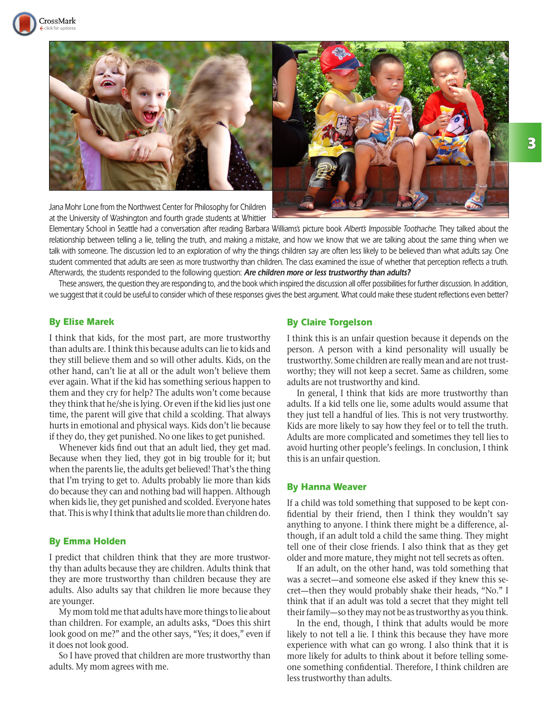



Jana Mohr Lone from the Northwest Center for Philosophy for Children at the University of Washington and fourth grade students at Whittier

Elementary School in Seattle had a conversation after reading Barbara Williams's picture book Albert's Impossible Toothache. They talked about the relationship between telling a lie, telling the truth, and making a mistake, and how we know that we are talking about the same thing when we talk with someone. The discussion led to an exploration of why the things children say are often less likely to be believed than what adults say. One student commented that adults are seen as more trustworthy than children. The class examined the issue of whether that perception reflects a truth. Afterwards, the students responded to the following question: **Are children more or less trustworthy than adults?**

These answers, the question they are responding to, and the book which inspired the discussion all offer possibilities for further discussion. In addition, we suggest that it could be useful to consider which of these responses gives the best argument. What could make these student reflections even better?

#### By Elise Marek

I think that kids, for the most part, are more trustworthy than adults are. I think this because adults can lie to kids and they still believe them and so will other adults. Kids, on the other hand, can't lie at all or the adult won't believe them ever again. What if the kid has something serious happen to them and they cry for help? The adults won't come because they think that he/she is lying. Or even if the kid lies just one time, the parent will give that child a scolding. That always hurts in emotional and physical ways. Kids don't lie because if they do, they get punished. No one likes to get punished.

Whenever kids find out that an adult lied, they get mad. Because when they lied, they got in big trouble for it; but when the parents lie, the adults get believed! That's the thing that I'm trying to get to. Adults probably lie more than kids do because they can and nothing bad will happen. Although when kids lie, they get punished and scolded. Everyone hates that. This is why I think that adults lie more than children do.

### By Emma Holden

I predict that children think that they are more trustworthy than adults because they are children. Adults think that they are more trustworthy than children because they are adults. Also adults say that children lie more because they are younger.

My mom told me that adults have more things to lie about than children. For example, an adults asks, "Does this shirt look good on me?" and the other says, "Yes; it does," even if it does not look good.

So I have proved that children are more trustworthy than adults. My mom agrees with me.

#### By Claire Torgelson

I think this is an unfair question because it depends on the person. A person with a kind personality will usually be trustworthy. Some children are really mean and are not trustworthy; they will not keep a secret. Same as children, some adults are not trustworthy and kind.

In general, I think that kids are more trustworthy than adults. If a kid tells one lie, some adults would assume that they just tell a handful of lies. This is not very trustworthy. Kids are more likely to say how they feel or to tell the truth. Adults are more complicated and sometimes they tell lies to avoid hurting other people's feelings. In conclusion, I think this is an unfair question.

### By Hanna Weaver

If a child was told something that supposed to be kept confidential by their friend, then I think they wouldn't say anything to anyone. I think there might be a difference, although, if an adult told a child the same thing. They might tell one of their close friends. I also think that as they get older and more mature, they might not tell secrets as often.

If an adult, on the other hand, was told something that was a secret—and someone else asked if they knew this secret—then they would probably shake their heads, "No." I think that if an adult was told a secret that they might tell their family—so they may not be as trustworthy as you think.

In the end, though, I think that adults would be more likely to not tell a lie. I think this because they have more experience with what can go wrong. I also think that it is more likely for adults to think about it before telling someone something confidential. Therefore, I think children are less trustworthy than adults.